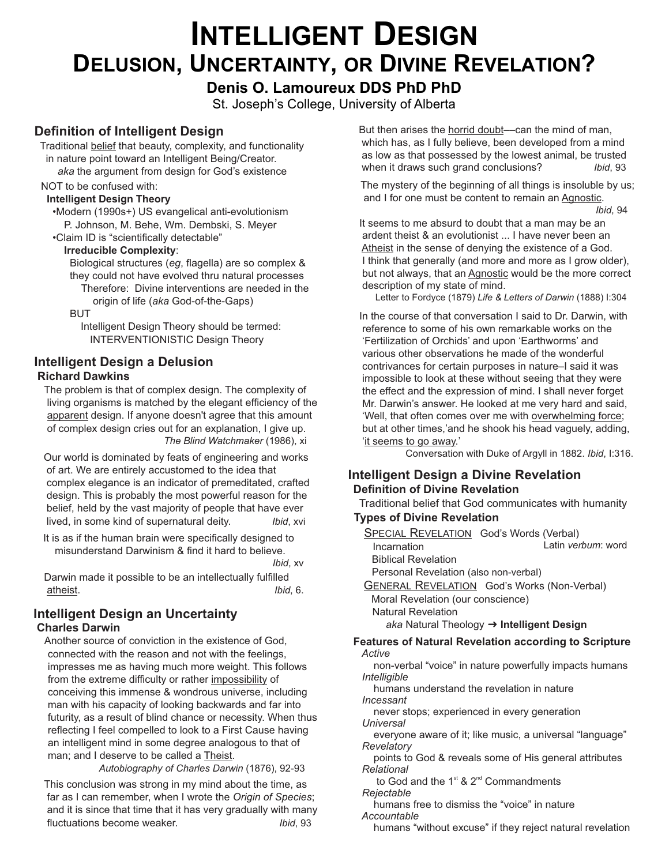# **INTELLIGENT DESIGN DELUSION, UNCERTAINTY, OR DIVINE REVELATION?**

## **Denis O. Lamoureux DDS PhD PhD**

St. Joseph's College, University of Alberta

### **Definition of Intelligent Design**

 Traditional belief that beauty, complexity, and functionality in nature point toward an Intelligent Being/Creator.  *aka* the argument from design for God's existence

#### NOT to be confused with:

#### **Intelligent Design Theory**

 •Modern (1990s+) US evangelical anti-evolutionism P. Johnson, M. Behe, Wm. Dembski, S. Meyer •Claim ID is "scientifically detectable"

#### **Irreducible Complexity**:

 Biological structures (*eg*, flagella) are so complex & they could not have evolved thru natural processes Therefore: Divine interventions are needed in the origin of life (*aka* God-of-the-Gaps)

BUT

 Intelligent Design Theory should be termed: INTERVENTIONISTIC Design Theory

#### **Intelligent Design a Delusion Richard Dawkins**

 The problem is that of complex design. The complexity of living organisms is matched by the elegant efficiency of the apparent design. If anyone doesn't agree that this amount of complex design cries out for an explanation, I give up.  *The Blind Watchmaker* (1986), xi

 Our world is dominated by feats of engineering and works of art. We are entirely accustomed to the idea that complex elegance is an indicator of premeditated, crafted design. This is probably the most powerful reason for the belief, held by the vast majority of people that have ever lived, in some kind of supernatural deity. *Ibid*, xvi

 It is as if the human brain were specifically designed to misunderstand Darwinism & find it hard to believe. *Ibid*, xv

 Darwin made it possible to be an intellectually fulfilled atheist. *Ibid*, 6.

#### **Intelligent Design an Uncertainty Charles Darwin**

Another source of conviction in the existence of God, connected with the reason and not with the feelings, impresses me as having much more weight. This follows from the extreme difficulty or rather impossibility of conceiving this immense & wondrous universe, including man with his capacity of looking backwards and far into futurity, as a result of blind chance or necessity. When thus reflecting I feel compelled to look to a First Cause having an intelligent mind in some degree analogous to that of man; and I deserve to be called a Theist.

 *Autobiography of Charles Darwin* (1876), 92-93

This conclusion was strong in my mind about the time, as far as I can remember, when I wrote the *Origin of Species*; and it is since that time that it has very gradually with many fluctuations become weaker. *Ibid*, 93

 But then arises the horrid doubt––can the mind of man, which has, as I fully believe, been developed from a mind as low as that possessed by the lowest animal, be trusted when it draws such grand conclusions? *Ibid*, 93

The mystery of the beginning of all things is insoluble by us; and I for one must be content to remain an Agnostic.

*Ibid*, 94

 It seems to me absurd to doubt that a man may be an ardent theist & an evolutionist ... I have never been an Atheist in the sense of denying the existence of a God. I think that generally (and more and more as I grow older), but not always, that an Agnostic would be the more correct description of my state of mind.

Letter to Fordyce (1879) *Life & Letters of Darwin* (1888) I:304

 In the course of that conversation I said to Dr. Darwin, with reference to some of his own remarkable works on the 'Fertilization of Orchids' and upon 'Earthworms' and various other observations he made of the wonderful contrivances for certain purposes in nature–I said it was impossible to look at these without seeing that they were the effect and the expression of mind. I shall never forget Mr. Darwin's answer. He looked at me very hard and said, 'Well, that often comes over me with overwhelming force; but at other times,'and he shook his head vaguely, adding, 'it seems to go away.'

Conversation with Duke of Argyll in 1882. *Ibid*, I:316.

#### **Intelligent Design a Divine Revelation Definition of Divine Revelation**

## Traditional belief that God communicates with humanity

### **Types of Divine Revelation**

GENERAL REVELATION God's Works (Non-Verbal) Moral Revelation (our conscience) Natural Revelation SPECIAL REVELATION God's Words (Verbal) Incarnation Biblical Revelation Personal Revelation (also non-verbal) *aka* Natural Theology ➜ **Intelligent Design Features of Natural Revelation according to Scripture**  *Active* non-verbal "voice" in nature powerfully impacts humans  *Intelligible* humans understand the revelation in nature  *Incessant* never stops; experienced in every generation  *Universal* everyone aware of it; like music, a universal "language"  *Revelatory* points to God & reveals some of His general attributes  *Relational* Latin *verbum*: word

to God and the  $1<sup>st</sup>$  &  $2<sup>nd</sup>$  Commandments  *Rejectable*

 humans free to dismiss the "voice" in nature  *Accountable*

humans "without excuse" if they reject natural revelation